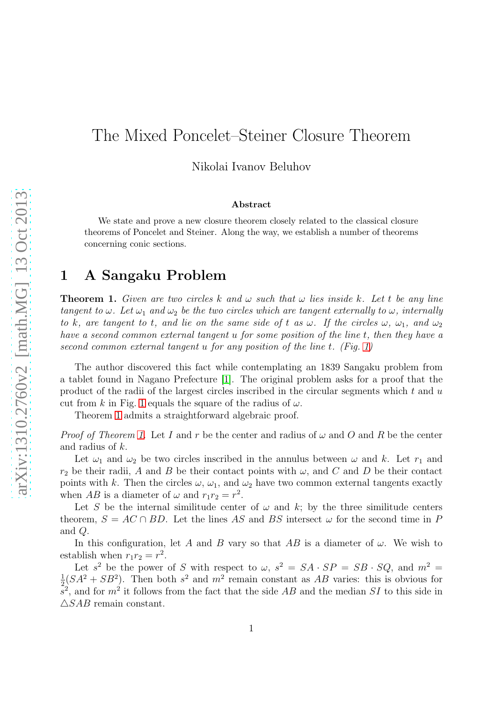# The Mixed Poncelet–Steiner Closure Theorem

Nikolai Ivanov Beluhov

#### Abstract

We state and prove a new closure theorem closely related to the classical closure theorems of Poncelet and Steiner. Along the way, we establish a number of theorems concerning conic sections.

### 1 A Sangaku Problem

<span id="page-0-0"></span>**Theorem 1.** Given are two circles k and  $\omega$  such that  $\omega$  lies inside k. Let t be any line *tangent to*  $\omega$ *. Let*  $\omega_1$  *and*  $\omega_2$  *be the two circles which are tangent externally to*  $\omega$ *, internally to* k*,* are tangent to t, and lie on the same side of t as  $\omega$ . If the circles  $\omega$ ,  $\omega_1$ , and  $\omega_2$ *have a second common external tangent* u *for some position of the line* t*, then they have a second common external tangent* u *for any position of the line* t*. (Fig. [1\)](#page-1-0)*

The author discovered this fact while contemplating an 1839 Sangaku problem from a tablet found in Nagano Prefecture [\[1\]](#page-7-0). The original problem asks for a proof that the product of the radii of the largest circles inscribed in the circular segments which  $t$  and  $u$ cut from k in Fig. [1](#page-1-0) equals the square of the radius of  $\omega$ .

Theorem [1](#page-0-0) admits a straightforward algebraic proof.

*Proof of Theorem [1.](#page-0-0)* Let I and r be the center and radius of  $\omega$  and O and R be the center and radius of k.

Let  $\omega_1$  and  $\omega_2$  be two circles inscribed in the annulus between  $\omega$  and k. Let  $r_1$  and  $r_2$  be their radii, A and B be their contact points with  $\omega$ , and C and D be their contact points with k. Then the circles  $\omega$ ,  $\omega_1$ , and  $\omega_2$  have two common external tangents exactly when AB is a diameter of  $\omega$  and  $r_1r_2 = r^2$ .

Let S be the internal similitude center of  $\omega$  and k; by the three similitude centers theorem,  $S = AC \cap BD$ . Let the lines AS and BS intersect  $\omega$  for the second time in P and Q.

In this configuration, let A and B vary so that AB is a diameter of  $\omega$ . We wish to establish when  $r_1r_2 = r^2$ .

Let  $s^2$  be the power of S with respect to  $\omega$ ,  $s^2 = SA \cdot SP = SB \cdot SQ$ , and  $m^2 =$ <br> $\frac{1}{(SA^2 + SP^2)}$ . Then both  $s^2$  and  $m^2$  remain constant as AB various this is obvious for  $\frac{1}{2}(SA^2 + SB^2)$ . Then both  $s^2$  and  $m^2$  remain constant as AB varies: this is obvious for  $\tilde{s}^2$ , and for  $m^2$  it follows from the fact that the side AB and the median SI to this side in  $\triangle SAB$  remain constant.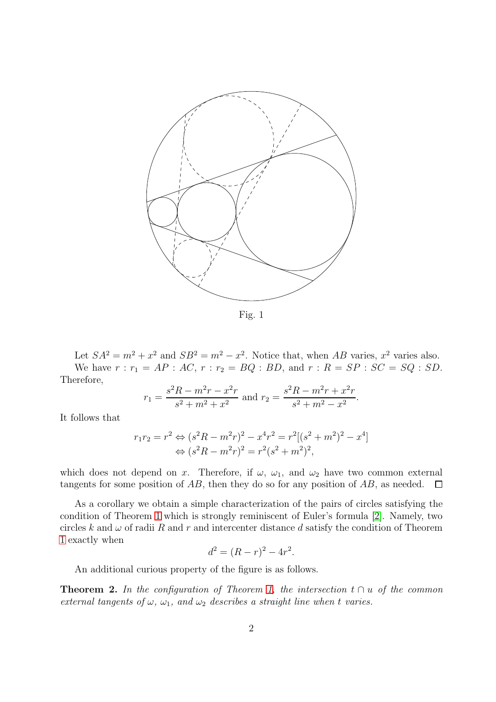<span id="page-1-0"></span>

Fig. 1

Let  $SA^2 = m^2 + x^2$  and  $SB^2 = m^2 - x^2$ . Notice that, when AB varies,  $x^2$  varies also. We have  $r : r_1 = AP : AC, r : r_2 = BQ : BD,$  and  $r : R = SP : SC = SQ : SD$ . Therefore,

$$
r_1 = \frac{s^2 R - m^2 r - x^2 r}{s^2 + m^2 + x^2}
$$
 and  $r_2 = \frac{s^2 R - m^2 r + x^2 r}{s^2 + m^2 - x^2}$ .

It follows that

$$
r_1r_2 = r^2 \Leftrightarrow (s^2R - m^2r)^2 - x^4r^2 = r^2[(s^2 + m^2)^2 - x^4]
$$
  

$$
\Leftrightarrow (s^2R - m^2r)^2 = r^2(s^2 + m^2)^2,
$$

which does not depend on x. Therefore, if  $\omega$ ,  $\omega_1$ , and  $\omega_2$  have two common external tangents for some position of AB, then they do so for any position of AB, as needed.  $\Box$ 

As a corollary we obtain a simple characterization of the pairs of circles satisfying the condition of Theorem [1](#page-0-0) which is strongly reminiscent of Euler's formula [\[2\]](#page-7-1). Namely, two circles k and  $\omega$  of radii R and r and intercenter distance d satisfy the condition of Theorem [1](#page-0-0) exactly when

$$
d^2 = (R - r)^2 - 4r^2.
$$

An additional curious property of the figure is as follows.

**Theorem 2.** In the configuration of Theorem [1,](#page-0-0) the intersection  $t \cap u$  of the common *external tangents of*  $\omega$ *,*  $\omega_1$ *, and*  $\omega_2$  *describes a straight line when t varies.*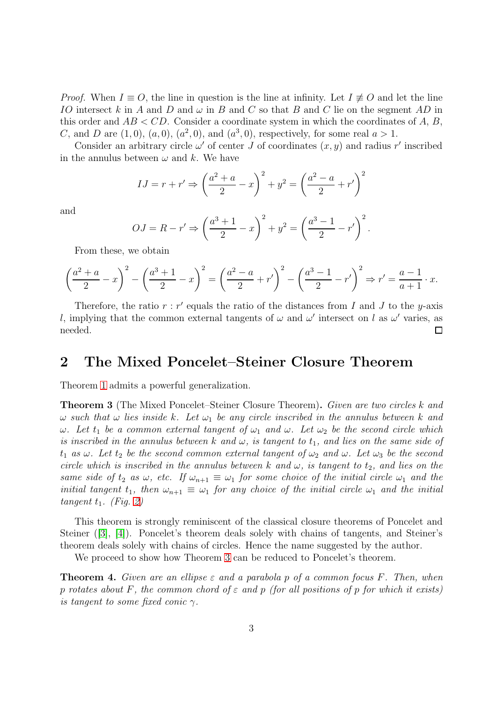*Proof.* When  $I \equiv O$ , the line in question is the line at infinity. Let  $I \not\equiv O$  and let the line IO intersect k in A and D and  $\omega$  in B and C so that B and C lie on the segment AD in this order and  $AB < CD$ . Consider a coordinate system in which the coordinates of A, B, C, and D are  $(1,0)$ ,  $(a,0)$ ,  $(a^2,0)$ , and  $(a^3,0)$ , respectively, for some real  $a > 1$ .

Consider an arbitrary circle  $\omega'$  of center J of coordinates  $(x, y)$  and radius r' inscribed in the annulus between  $\omega$  and k. We have

$$
IJ = r + r' \Rightarrow \left(\frac{a^2 + a}{2} - x\right)^2 + y^2 = \left(\frac{a^2 - a}{2} + r'\right)^2
$$

and

$$
OJ = R - r' \Rightarrow \left(\frac{a^3 + 1}{2} - x\right)^2 + y^2 = \left(\frac{a^3 - 1}{2} - r'\right)^2.
$$

From these, we obtain

$$
\left(\frac{a^2+a}{2}-x\right)^2 - \left(\frac{a^3+1}{2}-x\right)^2 = \left(\frac{a^2-a}{2}+r'\right)^2 - \left(\frac{a^3-1}{2}-r'\right)^2 \Rightarrow r' = \frac{a-1}{a+1} \cdot x.
$$

Therefore, the ratio  $r : r'$  equals the ratio of the distances from I and J to the y-axis l, implying that the common external tangents of  $\omega$  and  $\omega'$  intersect on l as  $\omega'$  varies, as needed.  $\Box$ 

#### 2 The Mixed Poncelet–Steiner Closure Theorem

Theorem [1](#page-0-0) admits a powerful generalization.

<span id="page-2-0"></span>Theorem 3 (The Mixed Poncelet–Steiner Closure Theorem). *Given are two circles* k *and*  $\omega$  *such that*  $\omega$  *lies inside* k. Let  $\omega_1$  be any circle inscribed in the annulus between k and  $\omega$ *. Let*  $t_1$  *be a common external tangent of*  $\omega_1$  *and*  $\omega$ *. Let*  $\omega_2$  *be the second circle which is inscribed in the annulus between* k and  $\omega$ , *is tangent to*  $t_1$ , and *lies on the same side of*  $t_1$  *as*  $\omega$ *. Let*  $t_2$  *be the second common external tangent of*  $\omega_2$  *and*  $\omega$ *. Let*  $\omega_3$  *be the second circle which is inscribed in the annulus between* k and  $\omega$ , *is tangent to*  $t_2$ , and *lies on the same side of*  $t_2$  *as*  $\omega$ *, etc.* If  $\omega_{n+1} \equiv \omega_1$  for some choice of the initial circle  $\omega_1$  *and the initial tangent*  $t_1$ *, then*  $\omega_{n+1} \equiv \omega_1$  *for any choice of the initial circle*  $\omega_1$  *and the initial*  $tangent t_1$ *. (Fig. [2\)](#page-3-0)* 

This theorem is strongly reminiscent of the classical closure theorems of Poncelet and Steiner ([\[3\]](#page-7-2), [\[4\]](#page-7-3)). Poncelet's theorem deals solely with chains of tangents, and Steiner's theorem deals solely with chains of circles. Hence the name suggested by the author.

We proceed to show how Theorem [3](#page-2-0) can be reduced to Poncelet's theorem.

<span id="page-2-1"></span>Theorem 4. *Given are an ellipse* ε *and a parabola* p *of a common focus* F*. Then, when* p *rotates about* F*, the common chord of* ε *and* p *(for all positions of* p *for which it exists) is tangent to some fixed conic* γ*.*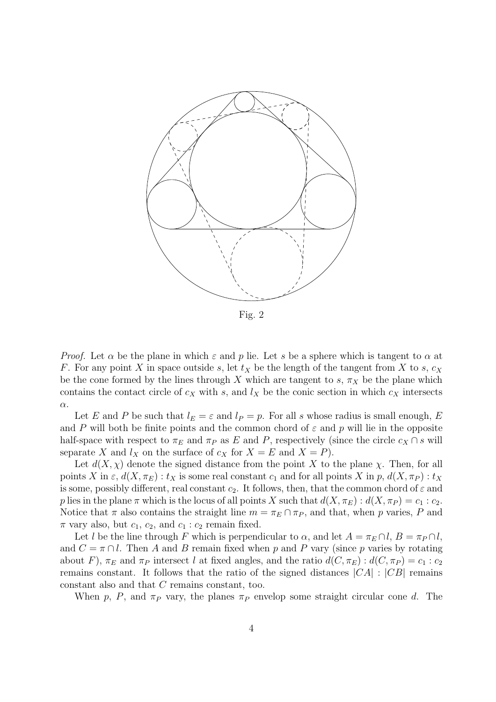<span id="page-3-0"></span>

Fig. 2

*Proof.* Let  $\alpha$  be the plane in which  $\varepsilon$  and  $p$  lie. Let s be a sphere which is tangent to  $\alpha$  at F. For any point X in space outside s, let  $t_X$  be the length of the tangent from X to s,  $c_X$ be the cone formed by the lines through X which are tangent to s,  $\pi_X$  be the plane which contains the contact circle of  $c_X$  with s, and  $l_X$  be the conic section in which  $c_X$  intersects α.

Let E and P be such that  $l_E = \varepsilon$  and  $l_P = p$ . For all s whose radius is small enough, E and P will both be finite points and the common chord of  $\varepsilon$  and p will lie in the opposite half-space with respect to  $\pi_E$  and  $\pi_P$  as E and P, respectively (since the circle  $c_X \cap s$  will separate X and  $l_X$  on the surface of  $c_X$  for  $X = E$  and  $X = P$ ).

Let  $d(X, \chi)$  denote the signed distance from the point X to the plane  $\chi$ . Then, for all points X in  $\varepsilon$ ,  $d(X,\pi_E): t_X$  is some real constant  $c_1$  and for all points X in p,  $d(X,\pi_P): t_X$ is some, possibly different, real constant  $c_2$ . It follows, then, that the common chord of  $\varepsilon$  and p lies in the plane  $\pi$  which is the locus of all points X such that  $d(X, \pi_E) : d(X, \pi_P) = c_1 : c_2$ . Notice that  $\pi$  also contains the straight line  $m = \pi_E \cap \pi_P$ , and that, when p varies, P and  $\pi$  vary also, but  $c_1$ ,  $c_2$ , and  $c_1$ :  $c_2$  remain fixed.

Let l be the line through F which is perpendicular to  $\alpha$ , and let  $A = \pi_E \cap l$ ,  $B = \pi_P \cap l$ , and  $C = \pi \cap l$ . Then A and B remain fixed when p and P vary (since p varies by rotating about F),  $\pi_E$  and  $\pi_P$  intersect l at fixed angles, and the ratio  $d(C, \pi_E) : d(C, \pi_P) = c_1 : c_2$ remains constant. It follows that the ratio of the signed distances  $|CA|$  :  $|CB|$  remains constant also and that C remains constant, too.

When p, P, and  $\pi_P$  vary, the planes  $\pi_P$  envelop some straight circular cone d. The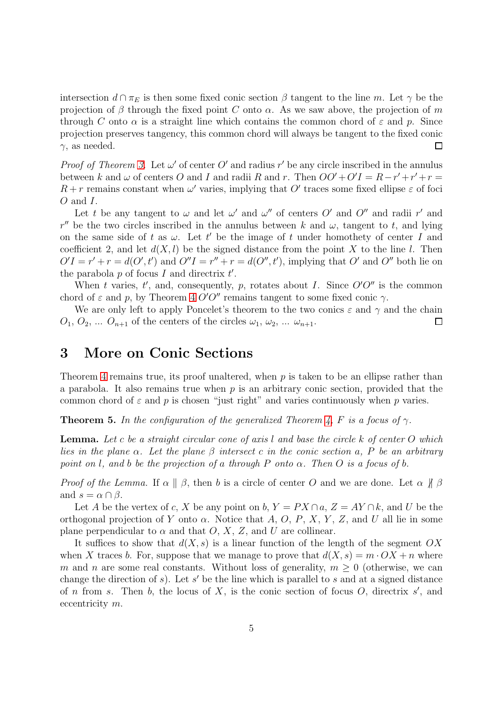intersection  $d \cap \pi_E$  is then some fixed conic section  $\beta$  tangent to the line m. Let  $\gamma$  be the projection of  $\beta$  through the fixed point C onto  $\alpha$ . As we saw above, the projection of m through C onto  $\alpha$  is a straight line which contains the common chord of  $\varepsilon$  and p. Since projection preserves tangency, this common chord will always be tangent to the fixed conic  $\gamma$ , as needed. □

*Proof of Theorem [3.](#page-2-0)* Let  $\omega'$  of center O' and radius r' be any circle inscribed in the annulus between k and  $\omega$  of centers O and I and radii R and r. Then  $OO' + O'I = R - r' + r' + r =$  $R + r$  remains constant when  $\omega'$  varies, implying that O' traces some fixed ellipse  $\varepsilon$  of foci O and I.

Let t be any tangent to  $\omega$  and let  $\omega'$  and  $\omega''$  of centers O' and O'' and radii r' and r'' be the two circles inscribed in the annulus between k and  $\omega$ , tangent to t, and lying on the same side of t as  $\omega$ . Let t' be the image of t under homothety of center I and coefficient 2, and let  $d(X, l)$  be the signed distance from the point X to the line l. Then  $O'I = r' + r = d(O', t')$  and  $O''I = r'' + r = d(O'', t')$ , implying that O' and O'' both lie on the parabola  $p$  of focus  $I$  and directrix  $t'$ .

When t varies,  $t'$ , and, consequently, p, rotates about I. Since  $O'O''$  is the common chord of  $\varepsilon$  and p, by Theorem [4](#page-2-1) O'O" remains tangent to some fixed conic  $\gamma$ .

We are only left to apply Poncelet's theorem to the two conics  $\varepsilon$  and  $\gamma$  and the chain  $O_1, O_2, \ldots O_{n+1}$  of the centers of the circles  $\omega_1, \omega_2, \ldots \omega_{n+1}$ . □

### 3 More on Conic Sections

Theorem [4](#page-2-1) remains true, its proof unaltered, when  $p$  is taken to be an ellipse rather than a parabola. It also remains true when  $p$  is an arbitrary conic section, provided that the common chord of  $\varepsilon$  and  $p$  is chosen "just right" and varies continuously when  $p$  varies.

<span id="page-4-0"></span>**Theorem 5.** In the configuration of the generalized Theorem [4,](#page-2-1) F is a focus of  $\gamma$ .

Lemma. *Let* c *be a straight circular cone of axis* l *and base the circle* k *of center* O *which lies in the plane* α*. Let the plane* β *intersect* c *in the conic section* a*,* P *be an arbitrary point on* l*, and* b *be the projection of* a *through* P *onto* α*. Then* O *is a focus of* b*.*

*Proof of the Lemma.* If  $\alpha \parallel \beta$ , then b is a circle of center O and we are done. Let  $\alpha \parallel \beta$ and  $s = \alpha \cap \beta$ .

Let A be the vertex of c, X be any point on b,  $Y = PX \cap a$ ,  $Z = AY \cap k$ , and U be the orthogonal projection of Y onto  $\alpha$ . Notice that A, O, P, X, Y, Z, and U all lie in some plane perpendicular to  $\alpha$  and that  $O, X, Z$ , and U are collinear.

It suffices to show that  $d(X, s)$  is a linear function of the length of the segment  $OX$ when X traces b. For, suppose that we manage to prove that  $d(X, s) = m \cdot OX + n$  where m and n are some real constants. Without loss of generality,  $m \geq 0$  (otherwise, we can change the direction of  $s$ ). Let  $s'$  be the line which is parallel to  $s$  and at a signed distance of n from s. Then b, the locus of X, is the conic section of focus  $O$ , directrix s', and eccentricity m.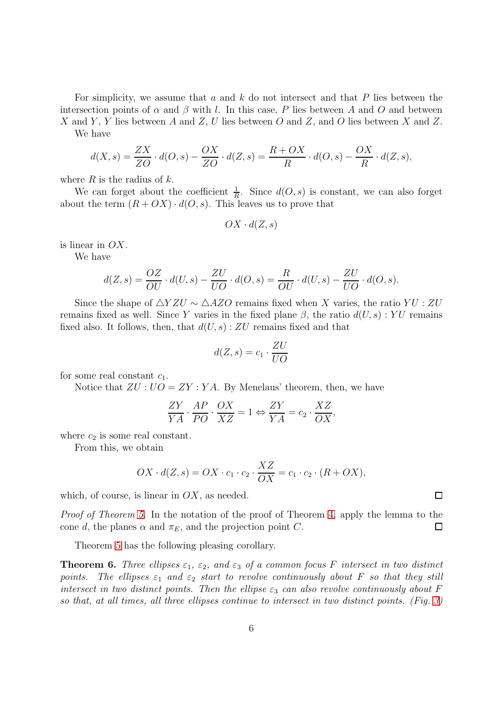For simplicity, we assume that a and  $k$  do not intersect and that  $P$  lies between the intersection points of  $\alpha$  and  $\beta$  with l. In this case, P lies between A and O and between X and Y, Y lies between A and Z, U lies between O and Z, and O lies between X and Z.

We have

$$
d(X,s) = \frac{ZX}{ZO} \cdot d(O,s) - \frac{OX}{ZO} \cdot d(Z,s) = \frac{R+OX}{R} \cdot d(O,s) - \frac{OX}{R} \cdot d(Z,s),
$$

where  $R$  is the radius of  $k$ .

We can forget about the coefficient  $\frac{1}{R}$ . Since  $d(O, s)$  is constant, we can also forget about the term  $(R + OX) \cdot d(O, s)$ . This leaves us to prove that

$$
OX \cdot d(Z, s)
$$

is linear in  $OX$ .

We have

$$
d(Z,s) = \frac{OZ}{OU} \cdot d(U,s) - \frac{ZU}{UO} \cdot d(O,s) = \frac{R}{OU} \cdot d(U,s) - \frac{ZU}{UO} \cdot d(O,s).
$$

Since the shape of  $\triangle YZU \sim \triangle AZO$  remains fixed when X varies, the ratio  $YU : ZU$ remains fixed as well. Since Y varies in the fixed plane  $\beta$ , the ratio  $d(U, s)$ : YU remains fixed also. It follows, then, that  $d(U, s)$ : ZU remains fixed and that

$$
d(Z,s) = c_1 \cdot \frac{ZU}{UO}
$$

for some real constant  $c_1$ .

Notice that  $ZU : UO = ZY : YA$ . By Menelaus' theorem, then, we have

$$
\frac{ZY}{YA}\cdot\frac{AP}{PO}\cdot\frac{OX}{XZ}=1\Leftrightarrow\frac{ZY}{YA}=c_2\cdot\frac{XZ}{OX},
$$

where  $c_2$  is some real constant.

From this, we obtain

$$
OX \cdot d(Z, s) = OX \cdot c_1 \cdot c_2 \cdot \frac{XZ}{OX} = c_1 \cdot c_2 \cdot (R + OX),
$$

which, of course, is linear in  $OX$ , as needed.

*Proof of Theorem [5.](#page-4-0)* In the notation of the proof of Theorem [4,](#page-2-1) apply the lemma to the cone d, the planes  $\alpha$  and  $\pi_E$ , and the projection point C. 口

Theorem [5](#page-4-0) has the following pleasing corollary.

**Theorem 6.** Three ellipses  $\varepsilon_1$ ,  $\varepsilon_2$ , and  $\varepsilon_3$  of a common focus F intersect in two distinct *points.* The ellipses  $\varepsilon_1$  and  $\varepsilon_2$  *start to revolve continuously about* F *so that they still intersect in two distinct points. Then the ellipse*  $\varepsilon_3$  *can also revolve continuously about* F *so that, at all times, all three ellipses continue to intersect in two distinct points. (Fig. [3\)](#page-6-0)*

 $\Box$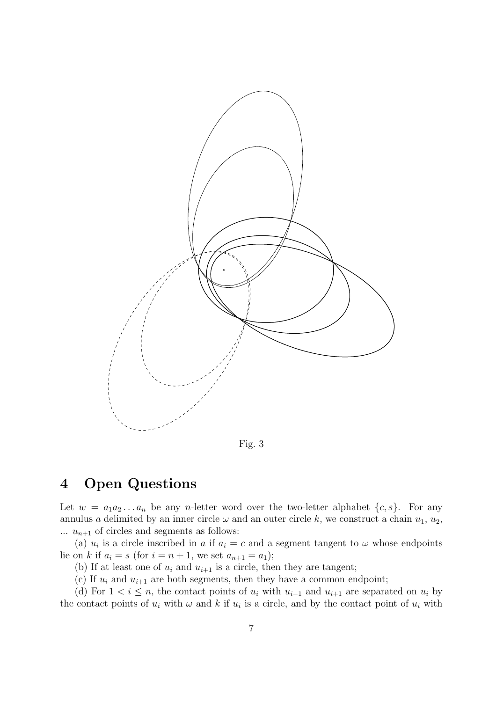<span id="page-6-0"></span>

Fig. 3

# 4 Open Questions

Let  $w = a_1 a_2 \dots a_n$  be any *n*-letter word over the two-letter alphabet  $\{c, s\}$ . For any annulus a delimited by an inner circle  $\omega$  and an outer circle k, we construct a chain  $u_1, u_2$ ,  $\ldots u_{n+1}$  of circles and segments as follows:

(a)  $u_i$  is a circle inscribed in a if  $a_i = c$  and a segment tangent to  $\omega$  whose endpoints lie on k if  $a_i = s$  (for  $i = n + 1$ , we set  $a_{n+1} = a_1$ );

(b) If at least one of  $u_i$  and  $u_{i+1}$  is a circle, then they are tangent;

(c) If  $u_i$  and  $u_{i+1}$  are both segments, then they have a common endpoint;

(d) For  $1 < i \leq n$ , the contact points of  $u_i$  with  $u_{i-1}$  and  $u_{i+1}$  are separated on  $u_i$  by the contact points of  $u_i$  with  $\omega$  and k if  $u_i$  is a circle, and by the contact point of  $u_i$  with